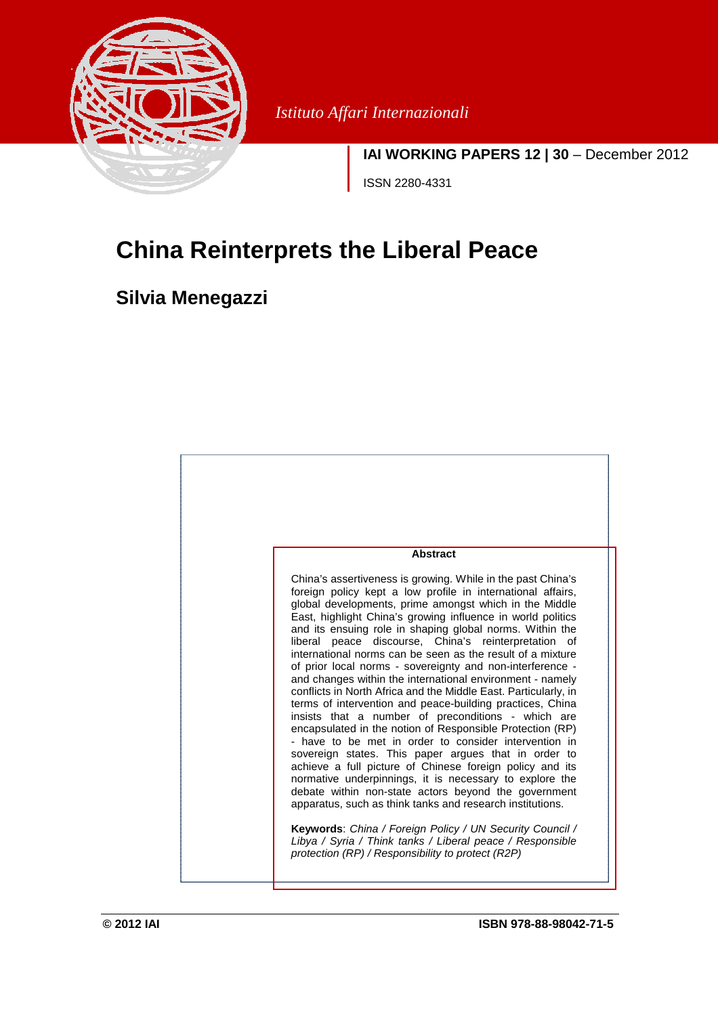

*Istituto Affari Internazionali* 

**IAI WORKING PAPERS 12 | 30** – December 2012 ISSN 2280-4331

# **China Reinterprets the Liberal Peace**

# **Silvia Menegazzi**

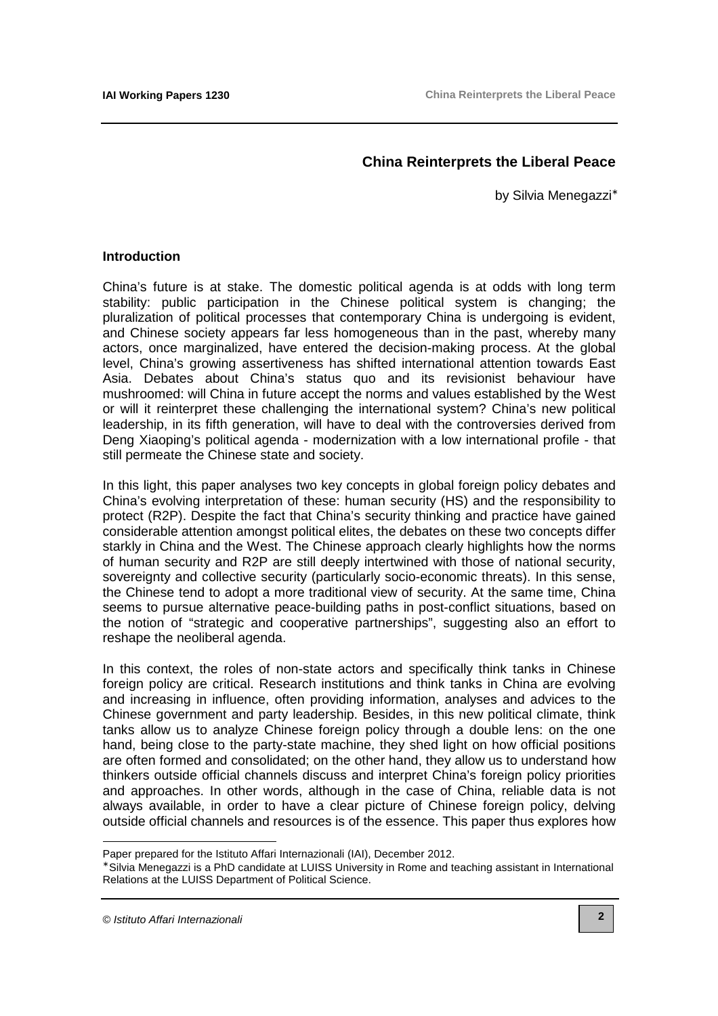## **China Reinterprets the Liberal Peace**

by Silvia Menegazzi<sup>∗</sup>

#### **Introduction**

China's future is at stake. The domestic political agenda is at odds with long term stability: public participation in the Chinese political system is changing; the pluralization of political processes that contemporary China is undergoing is evident, and Chinese society appears far less homogeneous than in the past, whereby many actors, once marginalized, have entered the decision-making process. At the global level, China's growing assertiveness has shifted international attention towards East Asia. Debates about China's status quo and its revisionist behaviour have mushroomed: will China in future accept the norms and values established by the West or will it reinterpret these challenging the international system? China's new political leadership, in its fifth generation, will have to deal with the controversies derived from Deng Xiaoping's political agenda - modernization with a low international profile - that still permeate the Chinese state and society.

In this light, this paper analyses two key concepts in global foreign policy debates and China's evolving interpretation of these: human security (HS) and the responsibility to protect (R2P). Despite the fact that China's security thinking and practice have gained considerable attention amongst political elites, the debates on these two concepts differ starkly in China and the West. The Chinese approach clearly highlights how the norms of human security and R2P are still deeply intertwined with those of national security, sovereignty and collective security (particularly socio-economic threats). In this sense, the Chinese tend to adopt a more traditional view of security. At the same time, China seems to pursue alternative peace-building paths in post-conflict situations, based on the notion of "strategic and cooperative partnerships", suggesting also an effort to reshape the neoliberal agenda.

In this context, the roles of non-state actors and specifically think tanks in Chinese foreign policy are critical. Research institutions and think tanks in China are evolving and increasing in influence, often providing information, analyses and advices to the Chinese government and party leadership. Besides, in this new political climate, think tanks allow us to analyze Chinese foreign policy through a double lens: on the one hand, being close to the party-state machine, they shed light on how official positions are often formed and consolidated; on the other hand, they allow us to understand how thinkers outside official channels discuss and interpret China's foreign policy priorities and approaches. In other words, although in the case of China, reliable data is not always available, in order to have a clear picture of Chinese foreign policy, delving outside official channels and resources is of the essence. This paper thus explores how

 $\overline{a}$ 

Paper prepared for the Istituto Affari Internazionali (IAI), December 2012.

<sup>∗</sup> Silvia Menegazzi is a PhD candidate at LUISS University in Rome and teaching assistant in International Relations at the LUISS Department of Political Science.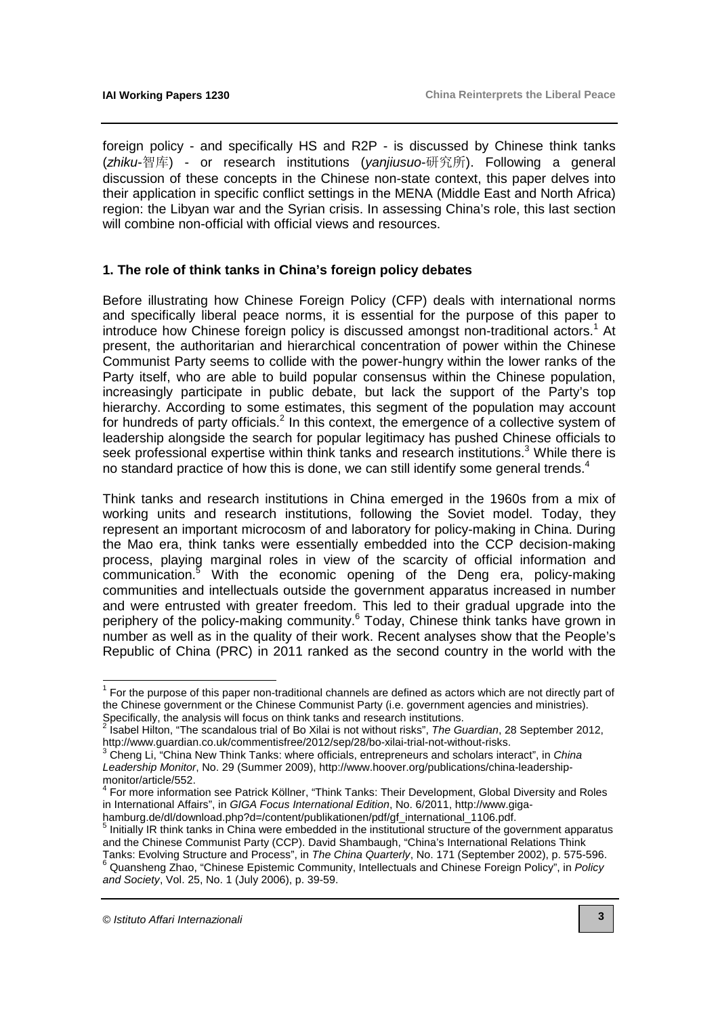foreign policy - and specifically HS and R2P - is discussed by Chinese think tanks (zhiku-智库) - or research institutions (yanjiusuo-研究所). Following a general discussion of these concepts in the Chinese non-state context, this paper delves into their application in specific conflict settings in the MENA (Middle East and North Africa) region: the Libyan war and the Syrian crisis. In assessing China's role, this last section will combine non-official with official views and resources.

### **1. The role of think tanks in China's foreign policy debates**

Before illustrating how Chinese Foreign Policy (CFP) deals with international norms and specifically liberal peace norms, it is essential for the purpose of this paper to introduce how Chinese foreign policy is discussed amongst non-traditional actors.<sup>1</sup> At present, the authoritarian and hierarchical concentration of power within the Chinese Communist Party seems to collide with the power-hungry within the lower ranks of the Party itself, who are able to build popular consensus within the Chinese population, increasingly participate in public debate, but lack the support of the Party's top hierarchy. According to some estimates, this segment of the population may account for hundreds of party officials.<sup>2</sup> In this context, the emergence of a collective system of leadership alongside the search for popular legitimacy has pushed Chinese officials to seek professional expertise within think tanks and research institutions.<sup>3</sup> While there is no standard practice of how this is done, we can still identify some general trends. $4$ 

Think tanks and research institutions in China emerged in the 1960s from a mix of working units and research institutions, following the Soviet model. Today, they represent an important microcosm of and laboratory for policy-making in China. During the Mao era, think tanks were essentially embedded into the CCP decision-making process, playing marginal roles in view of the scarcity of official information and communication.<sup>5</sup> With the economic opening of the Deng era, policy-making communities and intellectuals outside the government apparatus increased in number and were entrusted with greater freedom. This led to their gradual upgrade into the periphery of the policy-making community.<sup>6</sup> Today, Chinese think tanks have grown in number as well as in the quality of their work. Recent analyses show that the People's Republic of China (PRC) in 2011 ranked as the second country in the world with the

 $\overline{a}$ 

 $1$  For the purpose of this paper non-traditional channels are defined as actors which are not directly part of the Chinese government or the Chinese Communist Party (i.e. government agencies and ministries).

Specifically, the analysis will focus on think tanks and research institutions.<br><sup>2</sup> Isabel Hilton, "The scandalous trial of Bo Xilai is not without risks", *The Guardian*, 28 September 2012, [http://www.guardian.co.uk/commentisfree/2012/sep/28/bo-xilai-trial-not-without-risks.](http://www.guardian.co.uk/commentisfree/2012/sep/28/bo-xilai-trial-not-without-risks)

 $3$  Cheng Li, "China New Think Tanks: where officials, entrepreneurs and scholars interact", in China Leadership Monitor[, No. 29 \(Summer 2009\), http://www.hoover.org/publications/china-leadership-](http://www.hoover.org/publications/china-leadership-monitor/article/552)

monitor/article/552. 4 For more information see Patrick Köllner, "Think Tanks: Their Development, Global Diversity and Roles in International Affairs", in GIGA Focus International Edition, No. 6/2011, http://www.gigahamburg.de/dl/download.php?d=/content/publikationen/pdf/gf\_international\_1106.pdf.<br><sup>5</sup> Initially IB think tonks in China were ambadded in the institutional attuature of the sex

Initially IR think tanks in China were embedded in the institutional structure of the government apparatus and the Chinese Communist Party (CCP). David Shambaugh, "China's International Relations Think Tanks: Evolving Structure and Process", in The China Quarterly, No. 171 (September 2002), p. 575-596. <sup>6</sup> Quansheng Zhao, "Chinese Epistemic Community, Intellectuals and Chinese Foreign Policy", in Policy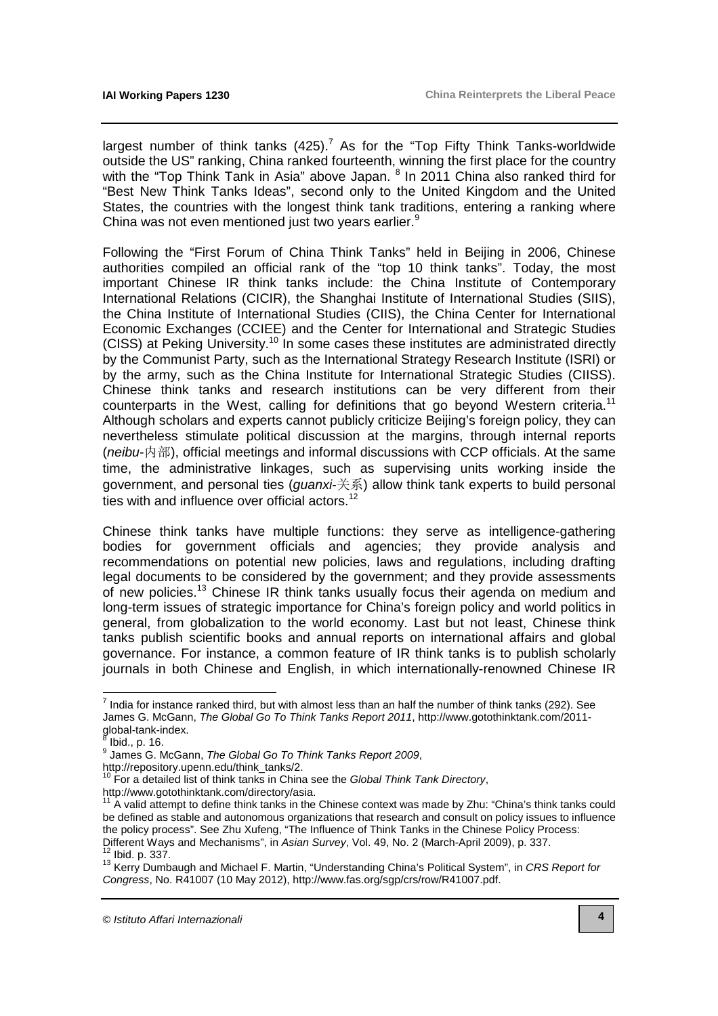largest number of think tanks  $(425)$ .<sup>7</sup> As for the "Top Fifty Think Tanks-worldwide outside the US" ranking, China ranked fourteenth, winning the first place for the country with the "Top Think Tank in Asia" above Japan. <sup>8</sup> In 2011 China also ranked third for "Best New Think Tanks Ideas", second only to the United Kingdom and the United States, the countries with the longest think tank traditions, entering a ranking where China was not even mentioned just two years earlier.<sup>9</sup>

Following the "First Forum of China Think Tanks" held in Beijing in 2006, Chinese authorities compiled an official rank of the "top 10 think tanks". Today, the most important Chinese IR think tanks include: the China Institute of Contemporary International Relations (CICIR), the Shanghai Institute of International Studies (SIIS), the China Institute of International Studies (CIIS), the China Center for International Economic Exchanges (CCIEE) and the Center for International and Strategic Studies (CISS) at Peking University.<sup>10</sup> In some cases these institutes are administrated directly by the Communist Party, such as the International Strategy Research Institute (ISRI) or by the army, such as the China Institute for International Strategic Studies (CIISS). Chinese think tanks and research institutions can be very different from their counterparts in the West, calling for definitions that go beyond Western criteria.<sup>11</sup> Although scholars and experts cannot publicly criticize Beijing's foreign policy, they can nevertheless stimulate political discussion at the margins, through internal reports (neibu-内部), official meetings and informal discussions with CCP officials. At the same time, the administrative linkages, such as supervising units working inside the government, and personal ties (guanxi-关系) allow think tank experts to build personal ties with and influence over official actors. $12$ 

Chinese think tanks have multiple functions: they serve as intelligence-gathering bodies for government officials and agencies; they provide analysis and recommendations on potential new policies, laws and regulations, including drafting legal documents to be considered by the government; and they provide assessments of new policies.<sup>13</sup> Chinese IR think tanks usually focus their agenda on medium and long-term issues of strategic importance for China's foreign policy and world politics in general, from globalization to the world economy. Last but not least, Chinese think tanks publish scientific books and annual reports on international affairs and global governance. For instance, a common feature of IR think tanks is to publish scholarly journals in both Chinese and English, in which internationally-renowned Chinese IR

 $^7$  India for instance ranked third, but with almost less than an half the number of think tanks (292). See James G. McGann, [The Global Go To Think Tanks Report 2011](http://www.gotothinktank.com/2011-global-tank-index), http://www.gotothinktank.com/2011 global-tank-index.<br><sup>8</sup> lhid - p. 16

 $\frac{1}{1}$ Ibid., p. 16.

<sup>&</sup>lt;sup>9</sup> James G. McGann, The Global Go To Think Tanks Report 2009,

[http://repository.upenn.edu/think\\_tanks/2.](http://repository.upenn.edu/think_tanks/2)

 $10$  For a detailed list of think tanks in China see the Global Think Tank Directory, [http://www.gotothinktank.com/directory/asia.](http://www.gotothinktank.com/directory/asia) 

<sup>&</sup>lt;sup>11</sup> A valid attempt to define think tanks in the Chinese context was made by Zhu: "China's think tanks could be defined as stable and autonomous organizations that research and consult on policy issues to influence the policy process". See Zhu Xufeng, "The Influence of Think Tanks in the Chinese Policy Process: Different Ways and Mechanisms", in Asian Survey, Vol. 49, No. 2 (March-April 2009), p. 337. <sup>12</sup> Ibid. p. 337.

<sup>&</sup>lt;sup>13</sup> Kerry Dumbaugh and Michael F. Martin, "Understanding China's Political System", in CRS Report for Congress, No. R41007 (10 May 2012), [http://www.fas.org/sgp/crs/row/R41007.pdf.](http://www.fas.org/sgp/crs/row/R41007.pdf)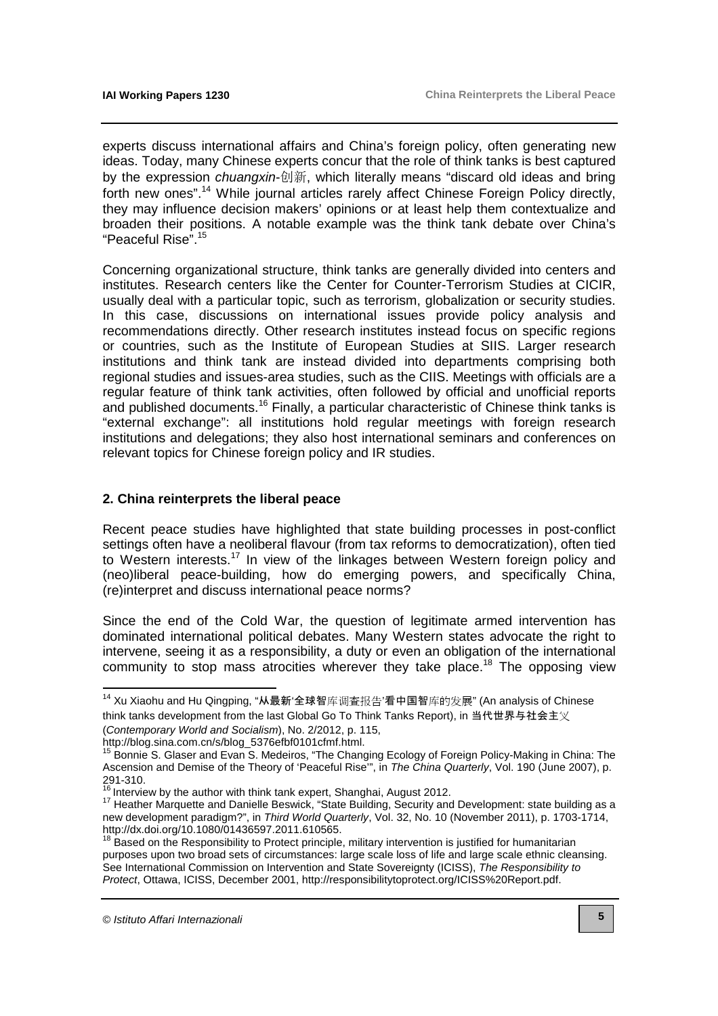experts discuss international affairs and China's foreign policy, often generating new ideas. Today, many Chinese experts concur that the role of think tanks is best captured by the expression *chuangxin*-创新, which literally means "discard old ideas and bring forth new ones".<sup>14</sup> While journal articles rarely affect Chinese Foreign Policy directly, they may influence decision makers' opinions or at least help them contextualize and broaden their positions. A notable example was the think tank debate over China's "Peaceful Rise".<sup>15</sup>

Concerning organizational structure, think tanks are generally divided into centers and institutes. Research centers like the Center for Counter-Terrorism Studies at CICIR, usually deal with a particular topic, such as terrorism, globalization or security studies. In this case, discussions on international issues provide policy analysis and recommendations directly. Other research institutes instead focus on specific regions or countries, such as the Institute of European Studies at SIIS. Larger research institutions and think tank are instead divided into departments comprising both regional studies and issues-area studies, such as the CIIS. Meetings with officials are a regular feature of think tank activities, often followed by official and unofficial reports and published documents.<sup>16</sup> Finally, a particular characteristic of Chinese think tanks is "external exchange": all institutions hold regular meetings with foreign research institutions and delegations; they also host international seminars and conferences on relevant topics for Chinese foreign policy and IR studies.

#### **2. China reinterprets the liberal peace**

Recent peace studies have highlighted that state building processes in post-conflict settings often have a neoliberal flavour (from tax reforms to democratization), often tied to Western interests.<sup>17</sup> In view of the linkages between Western foreign policy and (neo)liberal peace-building, how do emerging powers, and specifically China, (re)interpret and discuss international peace norms?

Since the end of the Cold War, the question of legitimate armed intervention has dominated international political debates. Many Western states advocate the right to intervene, seeing it as a responsibility, a duty or even an obligation of the international community to stop mass atrocities wherever they take place.<sup>18</sup> The opposing view

<sup>&</sup>lt;sup>14</sup> Xu Xiaohu and Hu Qingping, "从最新'全球智库调查报告'看中国智库的发展" (An analysis of Chinese think tanks development from the last Global Go To Think Tanks Report), in 当代世界与社会主义 (Contemporary World and Socialism), No. 2/2012, p. 115,

[http://blog.sina.com.cn/s/blog\\_5376efbf0101cfmf.html.](http://blog.sina.com.cn/s/blog_5376efbf0101cfmf.html)

<sup>&</sup>lt;sup>15</sup> Bonnie S. Glaser and Evan S. Medeiros, "The Changing Ecology of Foreign Policy-Making in China: The Ascension and Demise of the Theory of 'Peaceful Rise'", in The China Quarterly, Vol. 190 (June 2007), p. 291-310.

 $16$  Interview by the author with think tank expert, Shanghai, August 2012.

<sup>17</sup> Heather Marquette and Danielle Beswick, "State Building, Security and Development: state building as a new development paradigm?", in Third World Quarterly, Vol. 32, No. 10 (November 2011), p. 1703-1714, [http://dx.doi.org/10.1080/01436597.2011.610565.](http://dx.doi.org/10.1080/01436597.2011.610565)

<sup>18</sup> Based on the Responsibility to Protect principle, military intervention is justified for humanitarian purposes upon two broad sets of circumstances: large scale loss of life and large scale ethnic cleansing. See International Commission on Intervention and State Sovereignty (ICISS), The Responsibility to Protect, Ottawa, ICISS, December 2001, [http://responsibilitytoprotect.org/ICISS%20Report.pdf.](http://responsibilitytoprotect.org/ICISS%20Report.pdf)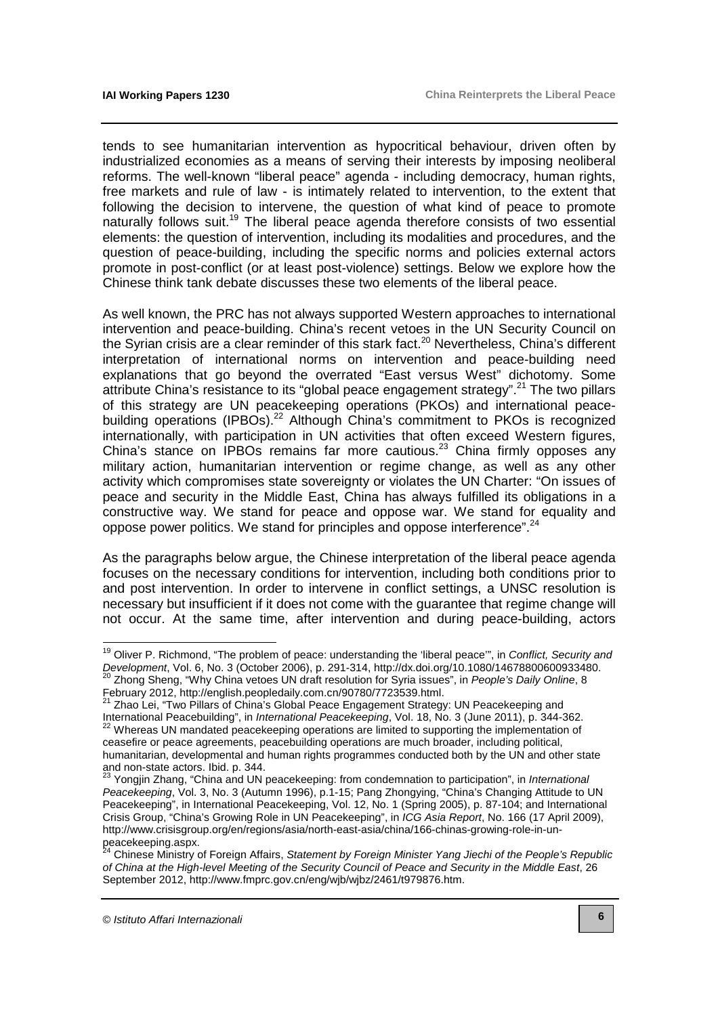tends to see humanitarian intervention as hypocritical behaviour, driven often by industrialized economies as a means of serving their interests by imposing neoliberal reforms. The well-known "liberal peace" agenda - including democracy, human rights, free markets and rule of law - is intimately related to intervention, to the extent that following the decision to intervene, the question of what kind of peace to promote naturally follows suit.<sup>19</sup> The liberal peace agenda therefore consists of two essential elements: the question of intervention, including its modalities and procedures, and the question of peace-building, including the specific norms and policies external actors promote in post-conflict (or at least post-violence) settings. Below we explore how the Chinese think tank debate discusses these two elements of the liberal peace.

As well known, the PRC has not always supported Western approaches to international intervention and peace-building. China's recent vetoes in the UN Security Council on the Syrian crisis are a clear reminder of this stark fact.<sup>20</sup> Nevertheless, China's different interpretation of international norms on intervention and peace-building need explanations that go beyond the overrated "East versus West" dichotomy. Some attribute China's resistance to its "global peace engagement strategy".<sup>21</sup> The two pillars of this strategy are UN peacekeeping operations (PKOs) and international peacebuilding operations (IPBOs).<sup>22</sup> Although China's commitment to PKOs is recognized internationally, with participation in UN activities that often exceed Western figures, China's stance on IPBOs remains far more cautious.<sup>23</sup> China firmly opposes any military action, humanitarian intervention or regime change, as well as any other activity which compromises state sovereignty or violates the UN Charter: "On issues of peace and security in the Middle East, China has always fulfilled its obligations in a constructive way. We stand for peace and oppose war. We stand for equality and oppose power politics. We stand for principles and oppose interference".<sup>24</sup>

As the paragraphs below argue, the Chinese interpretation of the liberal peace agenda focuses on the necessary conditions for intervention, including both conditions prior to and post intervention. In order to intervene in conflict settings, a UNSC resolution is necessary but insufficient if it does not come with the guarantee that regime change will not occur. At the same time, after intervention and during peace-building, actors

 $\overline{a}$ 

<sup>&</sup>lt;sup>19</sup> Oliver P. Richmond, "The problem of peace: understanding the 'liberal peace'", in Conflict, Security and Development, Vol. 6, No. 3 (October 2006), p. 291-314, [http://dx.doi.org/10.1080/14678800600933480.](http://dx.doi.org/10.1080/14678800600933480) <sup>20</sup> Zhong Sheng, "Why China vetoes UN draft resolution for Syria issues", in People's Daily Online, 8 February 2012, [http://english.peopledaily.com.cn/90780/7723539.html.](http://english.peopledaily.com.cn/90780/7723539.html)

<sup>21</sup> Zhao Lei, "Two Pillars of China's Global Peace Engagement Strategy: UN Peacekeeping and International Peacebuilding", in International Peacekeeping, Vol. 18, No. 3 (June 2011), p. 344-362.  $22$  Whereas UN mandated peacekeeping operations are limited to supporting the implementation of ceasefire or peace agreements, peacebuilding operations are much broader, including political, humanitarian, developmental and human rights programmes conducted both by the UN and other state and non-state actors. Ibid. p. 344.

<sup>&</sup>lt;sup>23</sup> Yongjin Zhang, "China and UN peacekeeping: from condemnation to participation", in International Peacekeeping, Vol. 3, No. 3 (Autumn 1996), p.1-15; Pang Zhongying, "China's Changing Attitude to UN Peacekeeping", in International Peacekeeping, Vol. 12, No. 1 (Spring 2005), p. 87-104; and International Crisis Group, "China's Growing Role in UN Peacekeeping", in ICG Asia Report, No. 166 (17 April 2009), [http://www.crisisgroup.org/en/regions/asia/north-east-asia/china/166-chinas-growing-role-in-un](http://www.crisisgroup.org/en/regions/asia/north-east-asia/china/166-chinas-growing-role-in-un-peacekeeping.aspx)peacekeeping.aspx.

<sup>&</sup>lt;sup>24</sup> Chinese Ministry of Foreign Affairs, Statement by Foreign Minister Yang Jiechi of the People's Republic of China at the High-level Meeting of the Security Council of Peace and Security in the Middle East, 26 September 2012, [http://www.fmprc.gov.cn/eng/wjb/wjbz/2461/t979876.htm.](http://www.fmprc.gov.cn/eng/wjb/wjbz/2461/t979876.htm)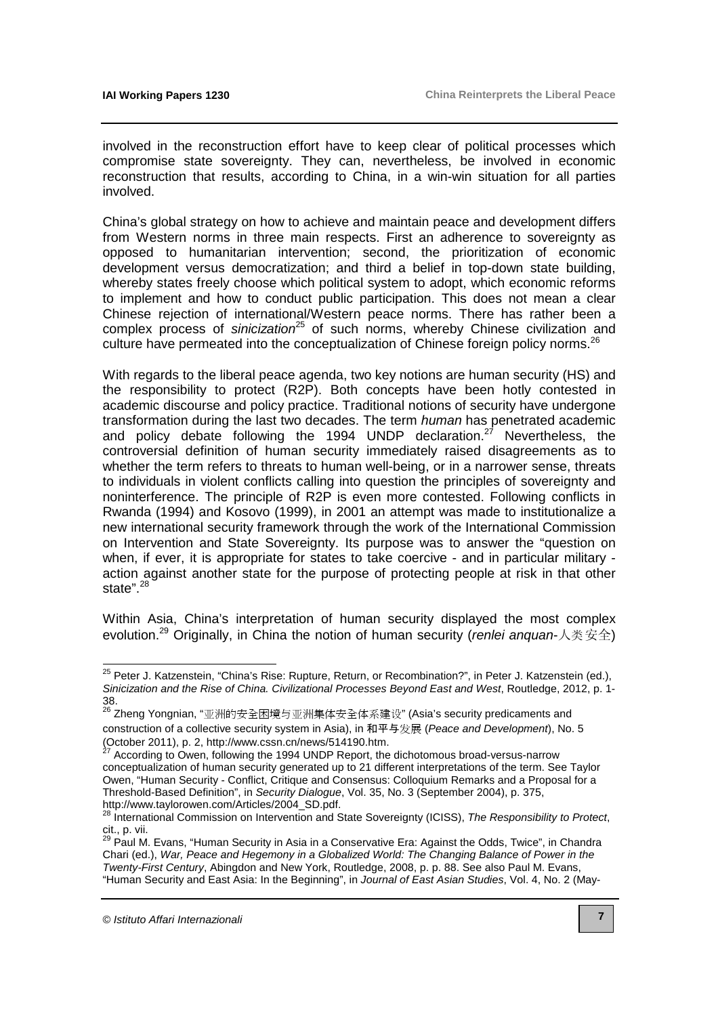involved in the reconstruction effort have to keep clear of political processes which compromise state sovereignty. They can, nevertheless, be involved in economic reconstruction that results, according to China, in a win-win situation for all parties involved.

China's global strategy on how to achieve and maintain peace and development differs from Western norms in three main respects. First an adherence to sovereignty as opposed to humanitarian intervention; second, the prioritization of economic development versus democratization; and third a belief in top-down state building, whereby states freely choose which political system to adopt, which economic reforms to implement and how to conduct public participation. This does not mean a clear Chinese rejection of international/Western peace norms. There has rather been a complex process of sinicization<sup>25</sup> of such norms, whereby Chinese civilization and culture have permeated into the conceptualization of Chinese foreign policy norms.<sup>26</sup>

With regards to the liberal peace agenda, two key notions are human security (HS) and the responsibility to protect (R2P). Both concepts have been hotly contested in academic discourse and policy practice. Traditional notions of security have undergone transformation during the last two decades. The term human has penetrated academic and policy debate following the 1994 UNDP declaration.<sup>27</sup> Nevertheless, the controversial definition of human security immediately raised disagreements as to whether the term refers to threats to human well-being, or in a narrower sense, threats to individuals in violent conflicts calling into question the principles of sovereignty and noninterference. The principle of R2P is even more contested. Following conflicts in Rwanda (1994) and Kosovo (1999), in 2001 an attempt was made to institutionalize a new international security framework through the work of the International Commission on Intervention and State Sovereignty. Its purpose was to answer the "question on when, if ever, it is appropriate for states to take coercive - and in particular military action against another state for the purpose of protecting people at risk in that other state".<sup>28</sup>

Within Asia, China's interpretation of human security displayed the most complex evolution.<sup>29</sup> Originally, in China the notion of human security (*renlei anguan*-人类安全)

 <sup>25</sup> Peter J. Katzenstein, "China's Rise: Rupture, Return, or Recombination?", in Peter J. Katzenstein (ed.), Sinicization and the Rise of China. Civilizational Processes Beyond East and West, Routledge, 2012, p. 1- 38.

<sup>&</sup>lt;sup>26</sup> Zheng Yongnian, "亚洲的安全困境与亚洲集体安全体系建设" (Asia's security predicaments and construction of a collective security system in Asia), in 和平与发展 (Peace and Development), No. 5 (October 2011), p. 2, [http://www.cssn.cn/news/514190.htm.](http://www.cssn.cn/news/514190.htm) 

<sup>27</sup> According to Owen, following the 1994 UNDP Report, the dichotomous broad-versus-narrow conceptualization of human security generated up to 21 different interpretations of the term. See Taylor Owen, "Human Security - Conflict, Critique and Consensus: Colloquium Remarks and a Proposal for a Threshold-Based Definition", in Security Dialogue, Vol. 35, No. 3 (September 2004), p. 375, [http://www.taylorowen.com/Articles/2004\\_SD.pdf.](http://www.taylorowen.com/Articles/2004_SD.pdf) 

<sup>&</sup>lt;sup>28</sup> International Commission on Intervention and State Sovereignty (ICISS), The Responsibility to Protect, cit., p. vii.

<sup>&</sup>lt;sup>29</sup> Paul M. Evans, "Human Security in Asia in a Conservative Era: Against the Odds, Twice", in Chandra Chari (ed.), War, Peace and Hegemony in a Globalized World: The Changing Balance of Power in the Twenty-First Century, Abingdon and New York, Routledge, 2008, p. p. 88. See also Paul M. Evans, "Human Security and East Asia: In the Beginning", in Journal of East Asian Studies, Vol. 4, No. 2 (May-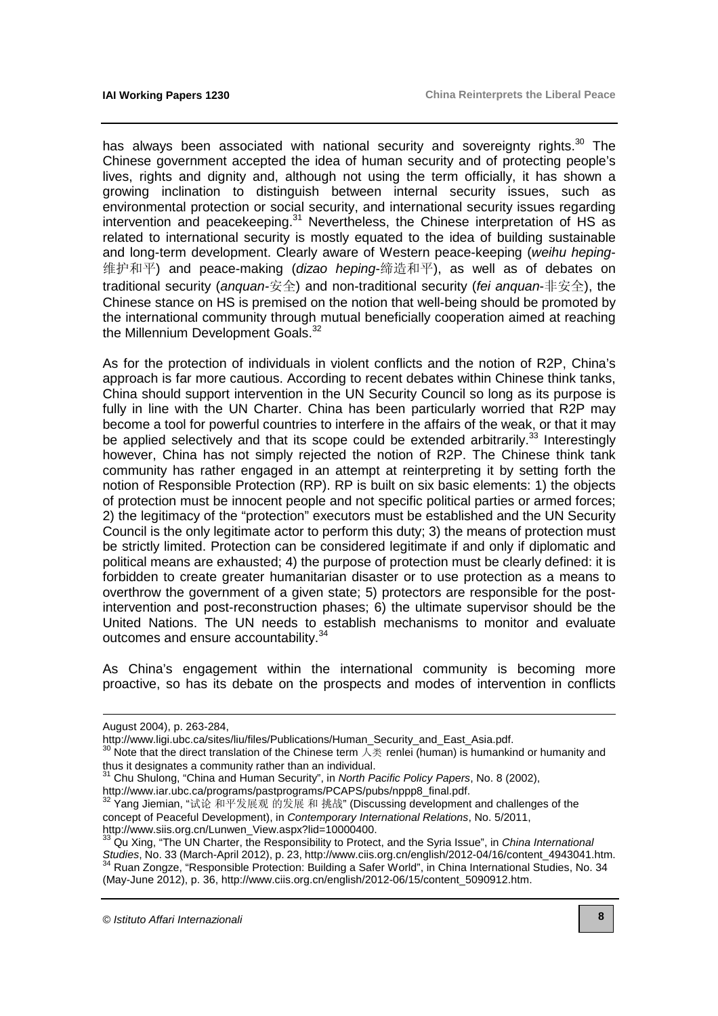has always been associated with national security and sovereignty rights.<sup>30</sup> The Chinese government accepted the idea of human security and of protecting people's lives, rights and dignity and, although not using the term officially, it has shown a growing inclination to distinguish between internal security issues, such as environmental protection or social security, and international security issues regarding intervention and peacekeeping.<sup>31</sup> Nevertheless, the Chinese interpretation of HS as related to international security is mostly equated to the idea of building sustainable and long-term development. Clearly aware of Western peace-keeping (weihu heping-维护和平) and peace-making (*dizao heping*-缔造和平), as well as of debates on traditional security (anquan-安全) and non-traditional security (fei anquan-非安全), the Chinese stance on HS is premised on the notion that well-being should be promoted by the international community through mutual beneficially cooperation aimed at reaching the Millennium Development Goals.<sup>32</sup>

As for the protection of individuals in violent conflicts and the notion of R2P, China's approach is far more cautious. According to recent debates within Chinese think tanks, China should support intervention in the UN Security Council so long as its purpose is fully in line with the UN Charter. China has been particularly worried that R2P may become a tool for powerful countries to interfere in the affairs of the weak, or that it may be applied selectively and that its scope could be extended arbitrarily.<sup>33</sup> Interestingly however, China has not simply rejected the notion of R2P. The Chinese think tank community has rather engaged in an attempt at reinterpreting it by setting forth the notion of Responsible Protection (RP). RP is built on six basic elements: 1) the objects of protection must be innocent people and not specific political parties or armed forces; 2) the legitimacy of the "protection" executors must be established and the UN Security Council is the only legitimate actor to perform this duty; 3) the means of protection must be strictly limited. Protection can be considered legitimate if and only if diplomatic and political means are exhausted; 4) the purpose of protection must be clearly defined: it is forbidden to create greater humanitarian disaster or to use protection as a means to overthrow the government of a given state; 5) protectors are responsible for the postintervention and post-reconstruction phases; 6) the ultimate supervisor should be the United Nations. The UN needs to establish mechanisms to monitor and evaluate outcomes and ensure accountability.<sup>34</sup>

As China's engagement within the international community is becoming more proactive, so has its debate on the prospects and modes of intervention in conflicts

-

August 2004), p. 263-284,

[http://www.ligi.ubc.ca/sites/liu/files/Publications/Human\\_Security\\_and\\_East\\_Asia.pdf.](http://www.ligi.ubc.ca/sites/liu/files/Publications/Human_Security_and_East_Asia.pdf) 

<sup>30</sup> Note that the direct translation of the Chinese term 人类 renlei (human) is humankind or humanity and thus it designates a community rather than an individual.

<sup>31</sup> Chu Shulong, "China and Human Security", in North Pacific Policy Papers, No. 8 (2002), [http://www.iar.ubc.ca/programs/pastprograms/PCAPS/pubs/nppp8\\_final.pdf.](http://www.iar.ubc.ca/programs/pastprograms/PCAPS/pubs/nppp8_final.pdf) 

 $32$  Yang Jiemian, "试论 和平发展观 的发展 和 挑战" (Discussing development and challenges of the concept of Peaceful Development), in Contemporary International Relations, No. 5/2011, http://www.siis.org.cn/Lunwen\_View.aspx?lid=10000400.

Qu Xing, "The UN Charter, the Responsibility to Protect, and the Syria Issue", in China International Studies, No. 33 (March-April 2012), p. 23, [http://www.ciis.org.cn/english/2012-04/16/content\\_4943041.htm.](http://www.ciis.org.cn/english/2012-04/16/content_4943041.htm) <sup>34</sup> Ruan Zongze, "Responsible Protection: Building a Safer World", in China International Studies, No. 34 (May-June 2012), p. 36, [http://www.ciis.org.cn/english/2012-06/15/content\\_5090912.htm.](http://www.ciis.org.cn/english/2012-06/15/content_5090912.htm)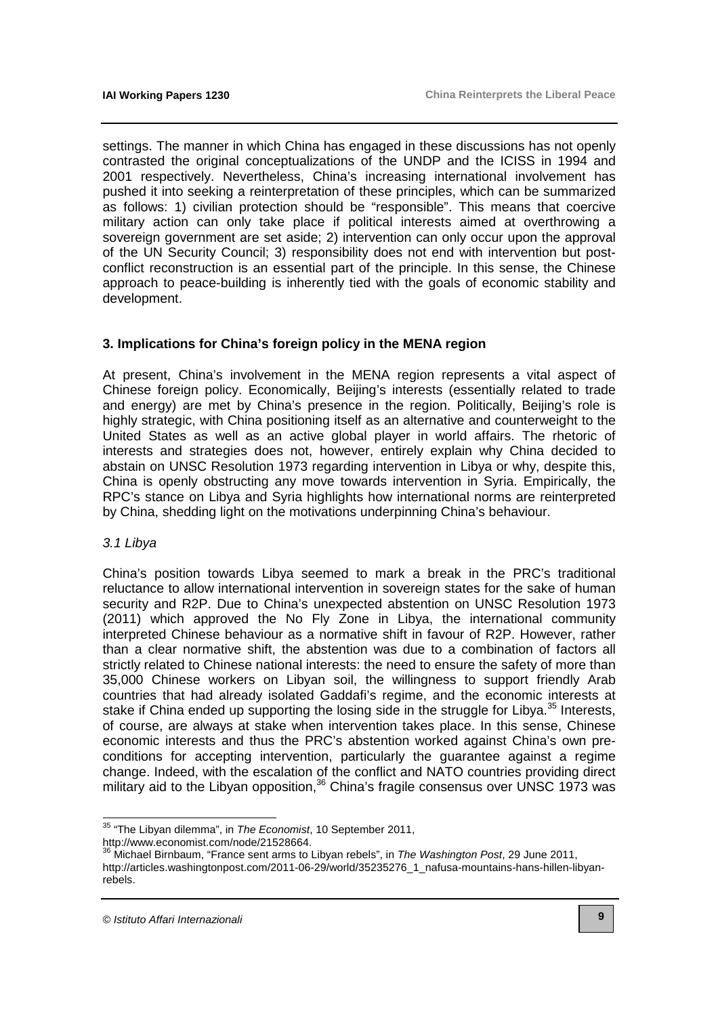settings. The manner in which China has engaged in these discussions has not openly contrasted the original conceptualizations of the UNDP and the ICISS in 1994 and 2001 respectively. Nevertheless, China's increasing international involvement has pushed it into seeking a reinterpretation of these principles, which can be summarized as follows: 1) civilian protection should be "responsible". This means that coercive military action can only take place if political interests aimed at overthrowing a sovereign government are set aside; 2) intervention can only occur upon the approval of the UN Security Council; 3) responsibility does not end with intervention but postconflict reconstruction is an essential part of the principle. In this sense, the Chinese approach to peace-building is inherently tied with the goals of economic stability and development.

#### **3. Implications for China's foreign policy in the MENA region**

At present, China's involvement in the MENA region represents a vital aspect of Chinese foreign policy. Economically, Beijing's interests (essentially related to trade and energy) are met by China's presence in the region. Politically, Beijing's role is highly strategic, with China positioning itself as an alternative and counterweight to the United States as well as an active global player in world affairs. The rhetoric of interests and strategies does not, however, entirely explain why China decided to abstain on UNSC Resolution 1973 regarding intervention in Libya or why, despite this, China is openly obstructing any move towards intervention in Syria. Empirically, the RPC's stance on Libya and Syria highlights how international norms are reinterpreted by China, shedding light on the motivations underpinning China's behaviour.

#### 3.1 Libya

China's position towards Libya seemed to mark a break in the PRC's traditional reluctance to allow international intervention in sovereign states for the sake of human security and R2P. Due to China's unexpected abstention on UNSC Resolution 1973 (2011) which approved the No Fly Zone in Libya, the international community interpreted Chinese behaviour as a normative shift in favour of R2P. However, rather than a clear normative shift, the abstention was due to a combination of factors all strictly related to Chinese national interests: the need to ensure the safety of more than 35,000 Chinese workers on Libyan soil, the willingness to support friendly Arab countries that had already isolated Gaddafi's regime, and the economic interests at stake if China ended up supporting the losing side in the struggle for Libya.<sup>35</sup> Interests, of course, are always at stake when intervention takes place. In this sense, Chinese economic interests and thus the PRC's abstention worked against China's own preconditions for accepting intervention, particularly the guarantee against a regime change. Indeed, with the escalation of the conflict and NATO countries providing direct military aid to the Libyan opposition,<sup>36</sup> China's fragile consensus over UNSC 1973 was

 <sup>35</sup> "The Libyan dilemma", in The Economist, 10 September 2011,

[http://www.economist.com/node/21528664.](http://www.economist.com/node/21528664)

<sup>&</sup>lt;sup>36</sup> Michael Birnbaum, "France sent arms to Libyan rebels", in The Washington Post, 29 June 2011, [http://articles.washingtonpost.com/2011-06-29/world/35235276\\_1\\_nafusa-mountains-hans-hillen-libyan](http://articles.washingtonpost.com/2011-06-29/world/35235276_1_nafusa-mountains-hans-hillen-libyan-rebels)rebels.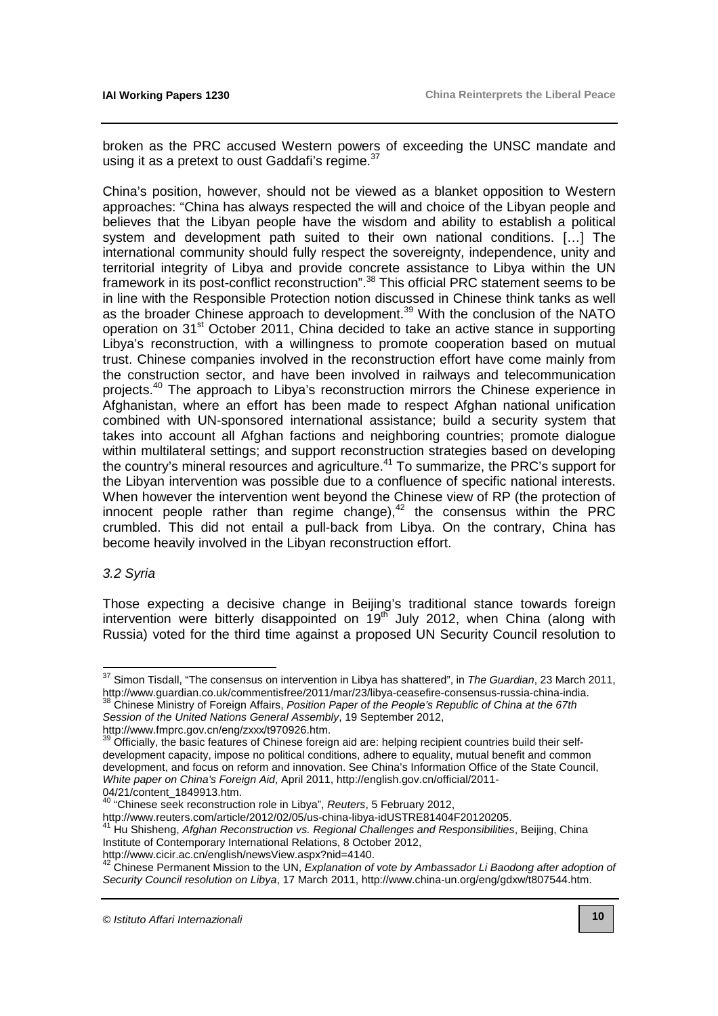broken as the PRC accused Western powers of exceeding the UNSC mandate and using it as a pretext to oust Gaddafi's regime. $37$ 

China's position, however, should not be viewed as a blanket opposition to Western approaches: "China has always respected the will and choice of the Libyan people and believes that the Libyan people have the wisdom and ability to establish a political system and development path suited to their own national conditions. […] The international community should fully respect the sovereignty, independence, unity and territorial integrity of Libya and provide concrete assistance to Libya within the UN framework in its post-conflict reconstruction".<sup>38</sup> This official PRC statement seems to be in line with the Responsible Protection notion discussed in Chinese think tanks as well as the broader Chinese approach to development.<sup>39</sup> With the conclusion of the NATO operation on 31st October 2011, China decided to take an active stance in supporting Libya's reconstruction, with a willingness to promote cooperation based on mutual trust. Chinese companies involved in the reconstruction effort have come mainly from the construction sector, and have been involved in railways and telecommunication projects.<sup>40</sup> The approach to Libya's reconstruction mirrors the Chinese experience in Afghanistan, where an effort has been made to respect Afghan national unification combined with UN-sponsored international assistance; build a security system that takes into account all Afghan factions and neighboring countries; promote dialogue within multilateral settings; and support reconstruction strategies based on developing the country's mineral resources and agriculture.<sup>41</sup> To summarize, the PRC's support for the Libyan intervention was possible due to a confluence of specific national interests. When however the intervention went beyond the Chinese view of RP (the protection of innocent people rather than regime change),<sup>42</sup> the consensus within the PRC crumbled. This did not entail a pull-back from Libya. On the contrary, China has become heavily involved in the Libyan reconstruction effort.

#### 3.2 Syria

 $\overline{a}$ 

Those expecting a decisive change in Beijing's traditional stance towards foreign intervention were bitterly disappointed on  $19^{th}$  July 2012, when China (along with Russia) voted for the third time against a proposed UN Security Council resolution to

Session of the United Nations General Assembly, 19 September 2012,

[http://www.fmprc.gov.cn/eng/zxxx/t970926.htm.](http://www.fmprc.gov.cn/eng/zxxx/t970926.htm)

 $37$  Simon Tisdall, "The consensus on intervention in Libya has shattered", in The Guardian, 23 March 2011, [http://www.guardian.co.uk/commentisfree/2011/mar/23/libya-ceasefire-consensus-russia-china-india.](http://www.guardian.co.uk/commentisfree/2011/mar/23/libya-ceasefire-consensus-russia-china-india) Chinese Ministry of Foreign Affairs, Position Paper of the People's Republic of China at the 67th

<sup>&</sup>lt;sup>39</sup> Officially, the basic features of Chinese foreign aid are: helping recipient countries build their selfdevelopment capacity, impose no political conditions, adhere to equality, mutual benefit and common development, and focus on reform and innovation. See China's Information Office of the State Council, White paper on China's Foreign Aid[, April 2011, http://english.gov.cn/official/2011-](http://english.gov.cn/official/2011-04/21/content_1849913.htm) 04/21/content\_1849913.htm.

<sup>&</sup>lt;sup>40</sup> "Chinese seek reconstruction role in Libya", Reuters, 5 February 2012,

[http://www.reuters.com/article/2012/02/05/us-china-libya-idUSTRE81404F20120205.](http://www.reuters.com/article/2012/02/05/us-china-libya-idUSTRE81404F20120205)

 $41$  Hu Shisheng, Afghan Reconstruction vs. Regional Challenges and Responsibilities, Beijing, China Institute of Contemporary International Relations, 8 October 2012,

[http://www.cicir.ac.cn/english/newsView.aspx?nid=4140.](http://www.cicir.ac.cn/english/newsView.aspx?nid=4140) 

Approximation actors engineed to the UN, Explanation of vote by Ambassador Li Baodong after adoption of Security Council resolution on Libya, 17 March 2011, [http://www.china-un.org/eng/gdxw/t807544.htm.](http://www.china-un.org/eng/gdxw/t807544.htm)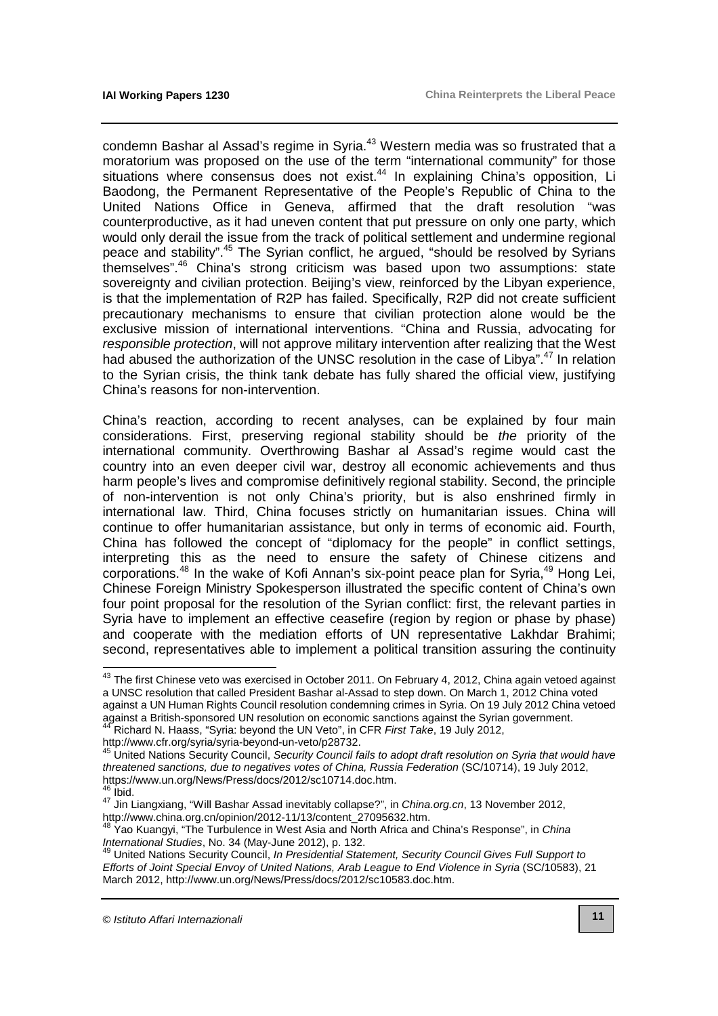condemn Bashar al Assad's regime in Syria.<sup>43</sup> Western media was so frustrated that a moratorium was proposed on the use of the term "international community" for those situations where consensus does not exist.<sup>44</sup> In explaining China's opposition, Li Baodong, the Permanent Representative of the People's Republic of China to the United Nations Office in Geneva, affirmed that the draft resolution "was counterproductive, as it had uneven content that put pressure on only one party, which would only derail the issue from the track of political settlement and undermine regional peace and stability".<sup>45</sup> The Syrian conflict, he argued, "should be resolved by Syrians themselves".<sup>46</sup> China's strong criticism was based upon two assumptions: state sovereignty and civilian protection. Beijing's view, reinforced by the Libyan experience, is that the implementation of R2P has failed. Specifically, R2P did not create sufficient precautionary mechanisms to ensure that civilian protection alone would be the exclusive mission of international interventions. "China and Russia, advocating for responsible protection, will not approve military intervention after realizing that the West had abused the authorization of the UNSC resolution in the case of Libya".<sup>47</sup> In relation to the Syrian crisis, the think tank debate has fully shared the official view, justifying China's reasons for non-intervention.

China's reaction, according to recent analyses, can be explained by four main considerations. First, preserving regional stability should be the priority of the international community. Overthrowing Bashar al Assad's regime would cast the country into an even deeper civil war, destroy all economic achievements and thus harm people's lives and compromise definitively regional stability. Second, the principle of non-intervention is not only China's priority, but is also enshrined firmly in international law. Third, China focuses strictly on humanitarian issues. China will continue to offer humanitarian assistance, but only in terms of economic aid. Fourth, China has followed the concept of "diplomacy for the people" in conflict settings, interpreting this as the need to ensure the safety of Chinese citizens and corporations.<sup>48</sup> In the wake of Kofi Annan's six-point peace plan for Syria,<sup>49</sup> Hong Lei, Chinese Foreign Ministry Spokesperson illustrated the specific content of China's own four point proposal for the resolution of the Syrian conflict: first, the relevant parties in Syria have to implement an effective ceasefire (region by region or phase by phase) and cooperate with the mediation efforts of UN representative Lakhdar Brahimi; second, representatives able to implement a political transition assuring the continuity

 $46$  Ibid.

 $^{43}$  The first Chinese veto was exercised in October 2011. On February 4, 2012, China again vetoed against a UNSC resolution that called President Bashar al-Assad to step down. On March 1, 2012 China voted against a UN Human Rights Council resolution condemning crimes in Syria. On 19 July 2012 China vetoed against a British-sponsored UN resolution on economic sanctions against the Syrian government.  $44$  Richard N. Haass, "Syria: beyond the UN Veto", in CFR First Take, 19 July 2012,

[http://www.cfr.org/syria/syria-beyond-un-veto/p28732.](http://www.cfr.org/syria/syria-beyond-un-veto/p28732)

<sup>&</sup>lt;sup>45</sup> United Nations Security Council, Security Council fails to adopt draft resolution on Syria that would have threatened sanctions, due to negatives votes of China, Russia Federation (SC/10714), 19 July 2012, [https://www.un.org/News/Press/docs/2012/sc10714.doc.htm.](https://www.un.org/News/Press/docs/2012/sc10714.doc.htm) 

<sup>47</sup> Jin Liangxiang, "Will Bashar Assad inevitably collapse?", in *China.org.cn*, 13 November 2012, [http://www.china.org.cn/opinion/2012-11/13/content\\_27095632.htm.](http://www.china.org.cn/opinion/2012-11/13/content_27095632.htm) 

 $^8$  Yao Kuangyi, "The Turbulence in West Asia and North Africa and China's Response", in *China* International Studies, No. 34 (May-June 2012), p. 132.

<sup>49</sup> United Nations Security Council, In Presidential Statement, Security Council Gives Full Support to Efforts of Joint Special Envoy of United Nations, Arab League to End Violence in Syria (SC/10583), 21 March 2012, [http://www.un.org/News/Press/docs/2012/sc10583.doc.htm.](http://www.un.org/News/Press/docs/2012/sc10583.doc.htm)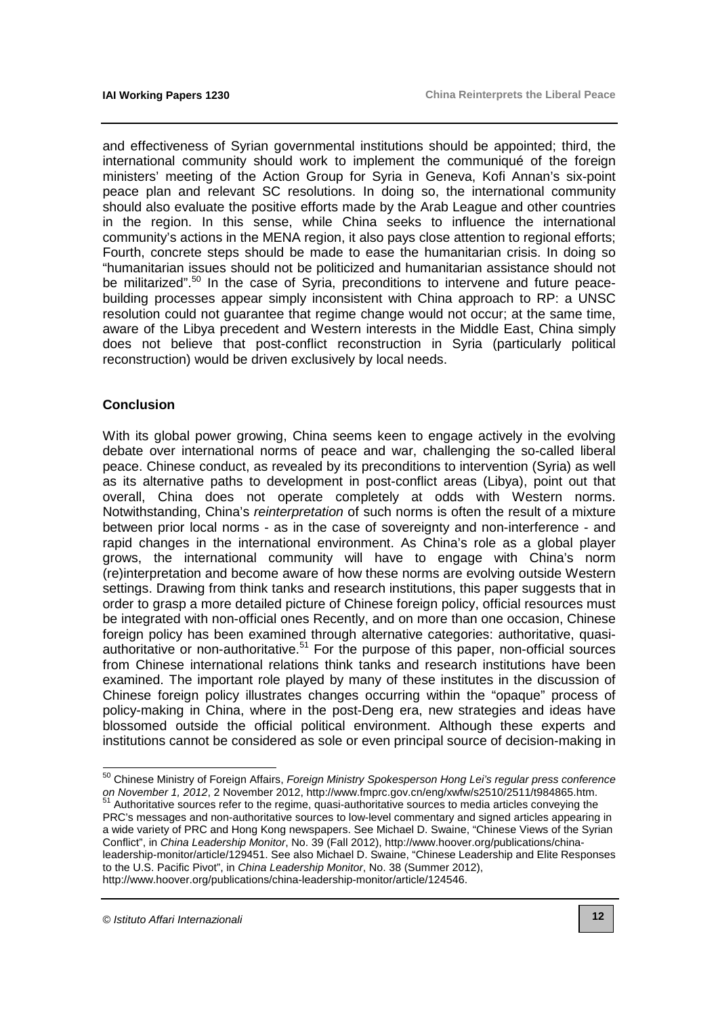and effectiveness of Syrian governmental institutions should be appointed; third, the international community should work to implement the communiqué of the foreign ministers' meeting of the Action Group for Syria in Geneva, Kofi Annan's six-point peace plan and relevant SC resolutions. In doing so, the international community should also evaluate the positive efforts made by the Arab League and other countries in the region. In this sense, while China seeks to influence the international community's actions in the MENA region, it also pays close attention to regional efforts; Fourth, concrete steps should be made to ease the humanitarian crisis. In doing so "humanitarian issues should not be politicized and humanitarian assistance should not be militarized".<sup>50</sup> In the case of Syria, preconditions to intervene and future peacebuilding processes appear simply inconsistent with China approach to RP: a UNSC resolution could not guarantee that regime change would not occur; at the same time, aware of the Libya precedent and Western interests in the Middle East, China simply does not believe that post-conflict reconstruction in Syria (particularly political reconstruction) would be driven exclusively by local needs.

#### **Conclusion**

With its global power growing, China seems keen to engage actively in the evolving debate over international norms of peace and war, challenging the so-called liberal peace. Chinese conduct, as revealed by its preconditions to intervention (Syria) as well as its alternative paths to development in post-conflict areas (Libya), point out that overall, China does not operate completely at odds with Western norms. Notwithstanding, China's reinterpretation of such norms is often the result of a mixture between prior local norms - as in the case of sovereignty and non-interference - and rapid changes in the international environment. As China's role as a global player grows, the international community will have to engage with China's norm (re)interpretation and become aware of how these norms are evolving outside Western settings. Drawing from think tanks and research institutions, this paper suggests that in order to grasp a more detailed picture of Chinese foreign policy, official resources must be integrated with non-official ones Recently, and on more than one occasion, Chinese foreign policy has been examined through alternative categories: authoritative, quasiauthoritative or non-authoritative.<sup>51</sup> For the purpose of this paper, non-official sources from Chinese international relations think tanks and research institutions have been examined. The important role played by many of these institutes in the discussion of Chinese foreign policy illustrates changes occurring within the "opaque" process of policy-making in China, where in the post-Deng era, new strategies and ideas have blossomed outside the official political environment. Although these experts and institutions cannot be considered as sole or even principal source of decision-making in

<sup>51</sup> Authoritative sources refer to the regime, quasi-authoritative sources to media articles conveying the PRC's messages and non-authoritative sources to low-level commentary and signed articles appearing in a wide variety of PRC and Hong Kong newspapers. See Michael D. Swaine, "Chinese Views of the Syrian Conflict", in China Leadership Monitor, No. 39 (Fall 2012), http://www.hoover.org/publications/china[leadership-monitor/article/129451. See also Michael D. Swaine, "Chinese Leadership and Elite Resp](http://www.hoover.org/publications/china-leadership-monitor/article/129451)onses to the U.S. Pacific Pivot", in China Leadership Monitor, No. 38 (Summer 2012), [http://www.hoover.org/publications/china-leadership-monitor/article/124546.](http://www.hoover.org/publications/china-leadership-monitor/article/124546)

© Istituto Affari Internazionali

l

<sup>&</sup>lt;sup>50</sup> Chinese Ministry of Foreign Affairs, *Foreign Ministry Spokesperson Hong Lei's regular press conference* on November 1, 2012, 2 November 2012, [http://www.fmprc.gov.cn/eng/xwfw/s2510/2511/t984865.htm.](http://www.fmprc.gov.cn/eng/xwfw/s2510/2511/t984865.htm)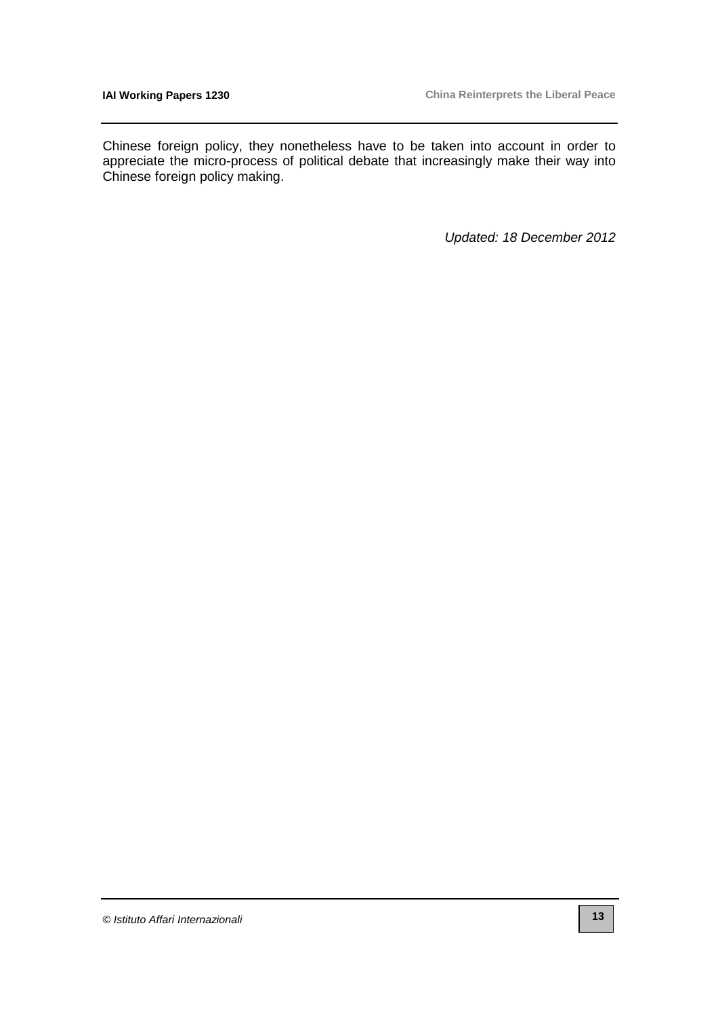Chinese foreign policy, they nonetheless have to be taken into account in order to appreciate the micro-process of political debate that increasingly make their way into Chinese foreign policy making.

Updated: 18 December 2012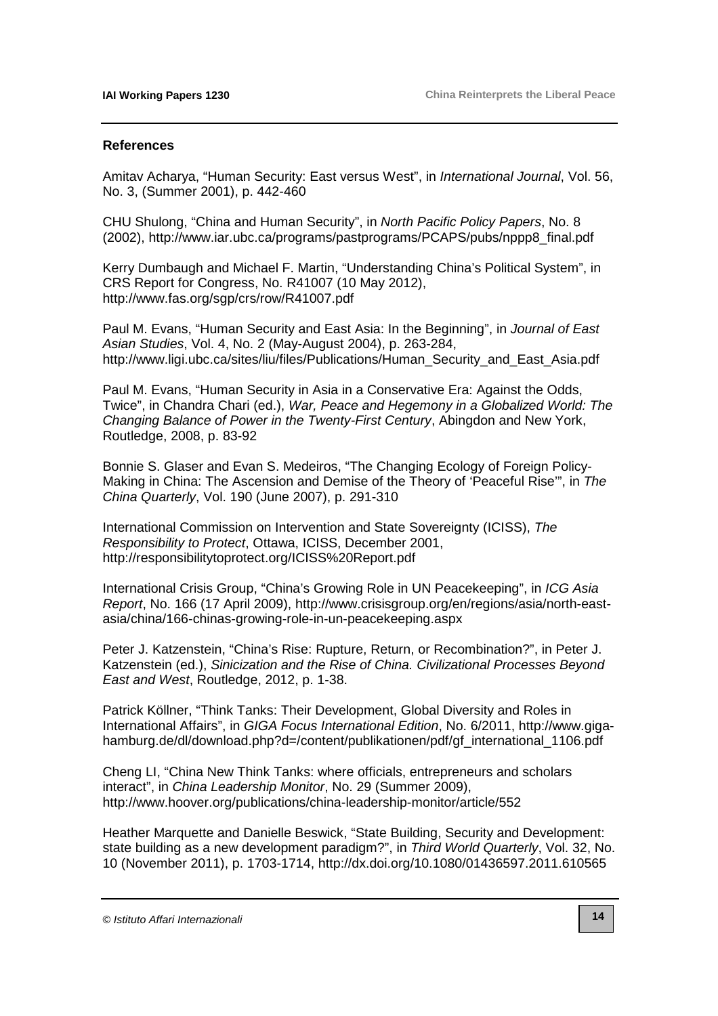#### **References**

Amitav Acharya, "Human Security: East versus West", in International Journal, Vol. 56, No. 3, (Summer 2001), p. 442-460

CHU Shulong, "China and Human Security", in North Pacific Policy Papers, No. 8 (2002), [http://www.iar.ubc.ca/programs/pastprograms/PCAPS/pubs/nppp8\\_final.pdf](http://www.iar.ubc.ca/programs/pastprograms/PCAPS/pubs/nppp8_final.pdf)

Kerry Dumbaugh and Michael F. Martin, "Understanding China's Political System", in CRS Report for Congress, No. R41007 (10 May 2012), <http://www.fas.org/sgp/crs/row/R41007.pdf>

Paul M. Evans, "Human Security and East Asia: In the Beginning", in Journal of East Asian Studies, Vol. 4, No. 2 (May-August 2004), p. 263-284, [http://www.ligi.ubc.ca/sites/liu/files/Publications/Human\\_Security\\_and\\_East\\_Asia.pdf](http://www.ligi.ubc.ca/sites/liu/files/Publications/Human_Security_and_East_Asia.pdf) 

Paul M. Evans, "Human Security in Asia in a Conservative Era: Against the Odds, Twice", in Chandra Chari (ed.), War, Peace and Hegemony in a Globalized World: The Changing Balance of Power in the Twenty-First Century, Abingdon and New York, Routledge, 2008, p. 83-92

Bonnie S. Glaser and Evan S. Medeiros, "The Changing Ecology of Foreign Policy-Making in China: The Ascension and Demise of the Theory of 'Peaceful Rise", in The China Quarterly, Vol. 190 (June 2007), p. 291-310

International Commission on Intervention and State Sovereignty (ICISS), The Responsibility to Protect, Ottawa, ICISS, December 2001, <http://responsibilitytoprotect.org/ICISS%20Report.pdf>

International Crisis Group, "China's Growing Role in UN Peacekeeping", in ICG Asia Report[, No. 166 \(17 April 2009\), http://www.crisisgroup.org/en/regions/asia/north-east](http://www.crisisgroup.org/en/regions/asia/north-east-asia/china/166-chinas-growing-role-in-un-peacekeeping.aspx)asia/china/166-chinas-growing-role-in-un-peacekeeping.aspx

Peter J. Katzenstein, "China's Rise: Rupture, Return, or Recombination?", in Peter J. Katzenstein (ed.), Sinicization and the Rise of China. Civilizational Processes Beyond East and West, Routledge, 2012, p. 1-38.

Patrick Köllner, "Think Tanks: Their Development, Global Diversity and Roles in International Affairs", in GIGA Focus International Edition, No. 6/2011, http://www.gigahamburg.de/dl/download.php?d=/content/publikationen/pdf/gf\_international\_1106.pdf

Cheng LI, "China New Think Tanks: where officials, entrepreneurs and scholars interact", in China Leadership Monitor, No. 29 (Summer 2009), <http://www.hoover.org/publications/china-leadership-monitor/article/552>

Heather Marquette and Danielle Beswick, "State Building, Security and Development: state building as a new development paradigm?", in Third World Quarterly, Vol. 32, No. 10 (November 2011), p. 1703-1714, <http://dx.doi.org/10.1080/01436597.2011.610565>

<sup>©</sup> Istituto Affari Internazionali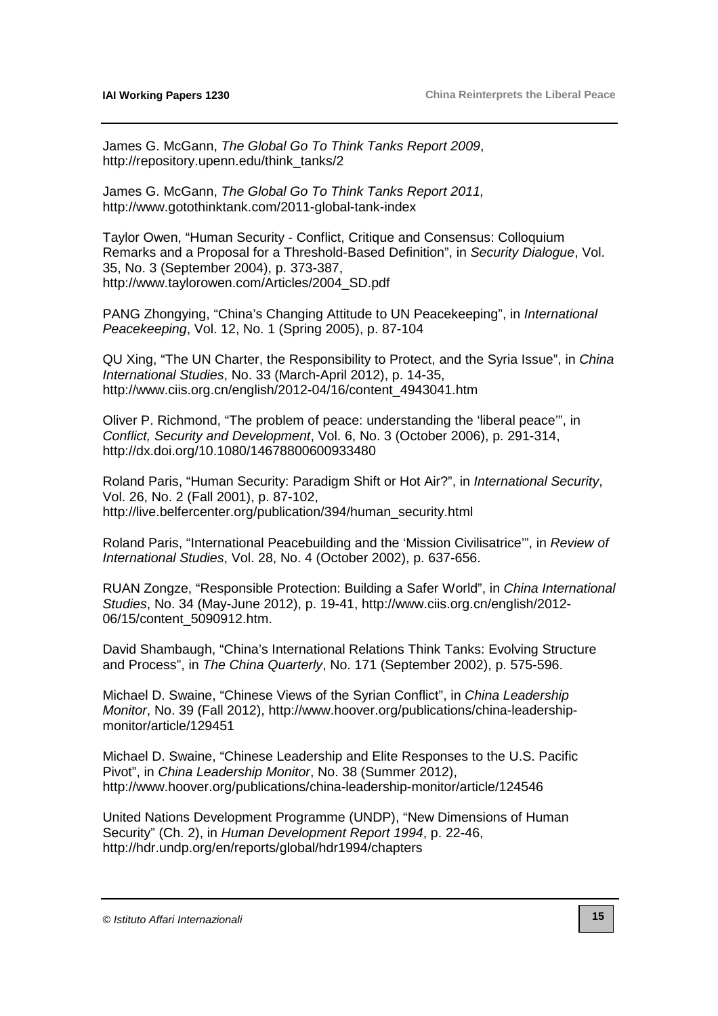James G. McGann, The Global Go To Think Tanks Report 2009, [http://repository.upenn.edu/think\\_tanks/2](http://repository.upenn.edu/think_tanks/2) 

James G. McGann, The Global Go To Think Tanks Report 2011, <http://www.gotothinktank.com/2011-global-tank-index>

Taylor Owen, "Human Security - Conflict, Critique and Consensus: Colloquium Remarks and a Proposal for a Threshold-Based Definition", in Security Dialogue, Vol. 35, No. 3 (September 2004), p. 373-387, [http://www.taylorowen.com/Articles/2004\\_SD.pdf](http://www.taylorowen.com/Articles/2004_SD.pdf)

PANG Zhongying, "China's Changing Attitude to UN Peacekeeping", in International Peacekeeping, Vol. 12, No. 1 (Spring 2005), p. 87-104

QU Xing, "The UN Charter, the Responsibility to Protect, and the Syria Issue", in China International Studies, No. 33 (March-April 2012), p. 14-35, [http://www.ciis.org.cn/english/2012-04/16/content\\_4943041.htm](http://www.ciis.org.cn/english/2012-04/16/content_4943041.htm)

Oliver P. Richmond, "The problem of peace: understanding the 'liberal peace'", in Conflict, Security and Development, Vol. 6, No. 3 (October 2006), p. 291-314, <http://dx.doi.org/10.1080/14678800600933480>

Roland Paris, "Human Security: Paradigm Shift or Hot Air?", in International Security, Vol. 26, No. 2 (Fall 2001), p. 87-102, [http://live.belfercenter.org/publication/394/human\\_security.html](http://live.belfercenter.org/publication/394/human_security.html)

Roland Paris, "International Peacebuilding and the 'Mission Civilisatrice'", in Review of International Studies, Vol. 28, No. 4 (October 2002), p. 637-656.

RUAN Zongze, "Responsible Protection: Building a Safer World", in China International Studies[, No. 34 \(May-June 2012\), p. 19-41, http://www.ciis.org.cn/english/2012-](http://www.ciis.org.cn/english/2012-06/15/content_5090912.htm) 06/15/content\_5090912.htm.

David Shambaugh, "China's International Relations Think Tanks: Evolving Structure and Process", in The China Quarterly, No. 171 (September 2002), p. 575-596.

Michael D. Swaine, "Chinese Views of the Syrian Conflict", in China Leadership Monitor[, No. 39 \(Fall 2012\), http://www.hoover.org/publications/china-leadership](http://www.hoover.org/publications/china-leadership-monitor/article/129451)monitor/article/129451

Michael D. Swaine, "Chinese Leadership and Elite Responses to the U.S. Pacific Pivot", in China Leadership Monitor, No. 38 (Summer 2012), <http://www.hoover.org/publications/china-leadership-monitor/article/124546>

United Nations Development Programme (UNDP), "New Dimensions of Human Security" (Ch. 2), in Human Development Report 1994, p. 22-46, <http://hdr.undp.org/en/reports/global/hdr1994/chapters>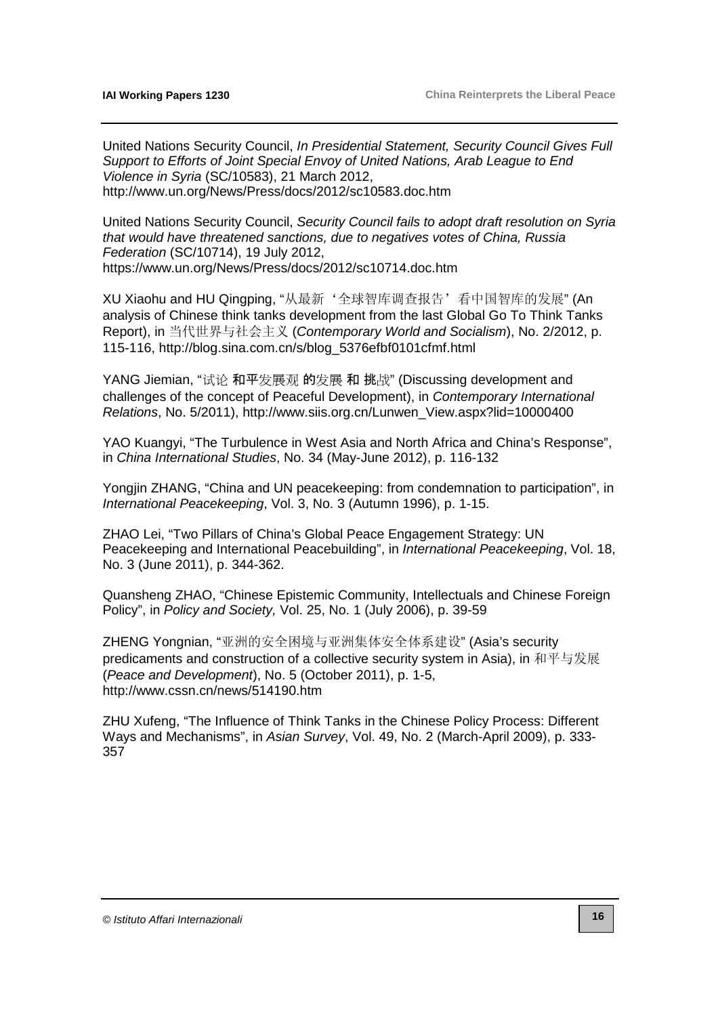United Nations Security Council, In Presidential Statement, Security Council Gives Full Support to Efforts of Joint Special Envoy of United Nations, Arab League to End Violence in Syria (SC/10583), 21 March 2012, <http://www.un.org/News/Press/docs/2012/sc10583.doc.htm>

United Nations Security Council, Security Council fails to adopt draft resolution on Syria that would have threatened sanctions, due to negatives votes of China, Russia Federation (SC/10714), 19 July 2012, <https://www.un.org/News/Press/docs/2012/sc10714.doc.htm>

XU Xiaohu and HU Qingping, "从最新'全球智库调查报告'看中国智库的发展" (An analysis of Chinese think tanks development from the last Global Go To Think Tanks Report), in 当代世界与社会主义 (Contemporary World and Socialism), No. 2/2012, p. 115-116, [http://blog.sina.com.cn/s/blog\\_5376efbf0101cfmf.html](http://blog.sina.com.cn/s/blog_5376efbf0101cfmf.html)

YANG Jiemian, "试论 和平发展观 的发展 和 挑战" (Discussing development and challenges of the concept of Peaceful Development), in Contemporary International Relations, No. 5/2011), [http://www.siis.org.cn/Lunwen\\_View.aspx?lid=10000400](http://www.siis.org.cn/Lunwen_View.aspx?lid=10000400)

YAO Kuangyi, "The Turbulence in West Asia and North Africa and China's Response", in China International Studies, No. 34 (May-June 2012), p. 116-132

Yongjin ZHANG, "China and UN peacekeeping: from condemnation to participation", in International Peacekeeping, Vol. 3, No. 3 (Autumn 1996), p. 1-15.

ZHAO Lei, "Two Pillars of China's Global Peace Engagement Strategy: UN Peacekeeping and International Peacebuilding", in *International Peacekeeping*, Vol. 18, No. 3 (June 2011), p. 344-362.

Quansheng ZHAO, "Chinese Epistemic Community, Intellectuals and Chinese Foreign Policy", in Policy and Society, Vol. 25, No. 1 (July 2006), p. 39-59

ZHENG Yongnian, "亚洲的安全困境与亚洲集体安全体系建设" (Asia's security predicaments and construction of a collective security system in Asia), in 和平与发展 (Peace and Development), No. 5 (October 2011), p. 1-5, <http://www.cssn.cn/news/514190.htm>

ZHU Xufeng, "The Influence of Think Tanks in the Chinese Policy Process: Different Ways and Mechanisms", in Asian Survey, Vol. 49, No. 2 (March-April 2009), p. 333- 357